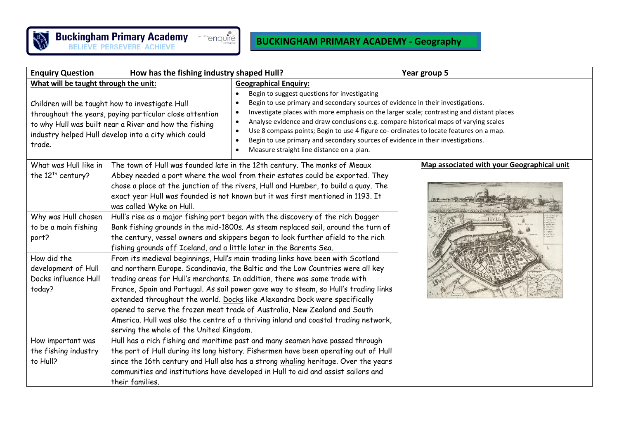

## **BUCKINGHAM PRIMARY ACADEMY - Geography**

| <b>Enquiry Question</b>                                                                                                                                                                                                                                                         | How has the fishing industry shaped Hull?                                                                                                                                                                                                                                                                                                                                                                                                                                                                                                                                                                                                                                                                     |                                                                                                                                                                                                                                                                                                                                                                                                                                                                                                                                                                                                                                                              | Year group 5 |
|---------------------------------------------------------------------------------------------------------------------------------------------------------------------------------------------------------------------------------------------------------------------------------|---------------------------------------------------------------------------------------------------------------------------------------------------------------------------------------------------------------------------------------------------------------------------------------------------------------------------------------------------------------------------------------------------------------------------------------------------------------------------------------------------------------------------------------------------------------------------------------------------------------------------------------------------------------------------------------------------------------|--------------------------------------------------------------------------------------------------------------------------------------------------------------------------------------------------------------------------------------------------------------------------------------------------------------------------------------------------------------------------------------------------------------------------------------------------------------------------------------------------------------------------------------------------------------------------------------------------------------------------------------------------------------|--------------|
| What will be taught through the unit:<br>Children will be taught how to investigate Hull<br>throughout the years, paying particular close attention<br>to why Hull was built near a River and how the fishing<br>industry helped Hull develop into a city which could<br>trade. |                                                                                                                                                                                                                                                                                                                                                                                                                                                                                                                                                                                                                                                                                                               | <b>Geographical Enquiry:</b><br>Begin to suggest questions for investigating<br>Begin to use primary and secondary sources of evidence in their investigations.<br>Investigate places with more emphasis on the larger scale; contrasting and distant places<br>Analyse evidence and draw conclusions e.g. compare historical maps of varying scales<br>$\bullet$<br>Use 8 compass points; Begin to use 4 figure co- ordinates to locate features on a map.<br>Begin to use primary and secondary sources of evidence in their investigations.<br>Measure straight line distance on a plan.                                                                  |              |
| What was Hull like in<br>the $12th$ century?<br>Why was Hull chosen<br>to be a main fishing<br>port?                                                                                                                                                                            | was called Wyke on Hull.                                                                                                                                                                                                                                                                                                                                                                                                                                                                                                                                                                                                                                                                                      | Map associated with your Geographical unit<br>The town of Hull was founded late in the 12th century. The monks of Meaux<br>Abbey needed a port where the wool from their estates could be exported. They<br>chose a place at the junction of the rivers, Hull and Humber, to build a quay. The<br>exact year Hull was founded is not known but it was first mentioned in 1193. It<br>Hull's rise as a major fishing port began with the discovery of the rich Dogger<br><b>HVLI</b><br>Bank fishing grounds in the mid-1800s. As steam replaced sail, around the turn of<br>the century, vessel owners and skippers began to look further afield to the rich |              |
| How did the<br>development of Hull<br>Docks influence Hull<br>today?                                                                                                                                                                                                            | fishing grounds off Iceland, and a little later in the Barents Sea.<br>From its medieval beginnings, Hull's main trading links have been with Scotland<br>and northern Europe. Scandinavia, the Baltic and the Low Countries were all key<br>trading areas for Hull's merchants. In addition, there was some trade with<br>France, Spain and Portugal. As sail power gave way to steam, so Hull's trading links<br>extended throughout the world. Docks like Alexandra Dock were specifically<br>opened to serve the frozen meat trade of Australia, New Zealand and South<br>America. Hull was also the centre of a thriving inland and coastal trading network,<br>serving the whole of the United Kingdom. |                                                                                                                                                                                                                                                                                                                                                                                                                                                                                                                                                                                                                                                              |              |
| How important was<br>the fishing industry<br>to Hull?                                                                                                                                                                                                                           | their families.                                                                                                                                                                                                                                                                                                                                                                                                                                                                                                                                                                                                                                                                                               | Hull has a rich fishing and maritime past and many seamen have passed through<br>the port of Hull during its long history. Fishermen have been operating out of Hull<br>since the 16th century and Hull also has a strong whaling heritage. Over the years<br>communities and institutions have developed in Hull to aid and assist sailors and                                                                                                                                                                                                                                                                                                              |              |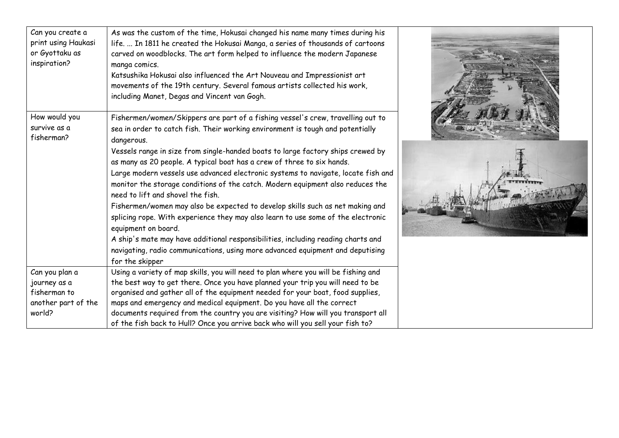| Can you create a<br>print using Haukasi<br>or Gyottaku as<br>inspiration?       | As was the custom of the time, Hokusai changed his name many times during his<br>life.  In 1811 he created the Hokusai Manga, a series of thousands of cartoons<br>carved on woodblocks. The art form helped to influence the modern Japanese<br>manga comics.<br>Katsushika Hokusai also influenced the Art Nouveau and Impressionist art<br>movements of the 19th century. Several famous artists collected his work,<br>including Manet, Degas and Vincent van Gogh.                                                                                                                                                                                                                                                                                    |  |
|---------------------------------------------------------------------------------|------------------------------------------------------------------------------------------------------------------------------------------------------------------------------------------------------------------------------------------------------------------------------------------------------------------------------------------------------------------------------------------------------------------------------------------------------------------------------------------------------------------------------------------------------------------------------------------------------------------------------------------------------------------------------------------------------------------------------------------------------------|--|
| How would you<br>survive as a<br>fisherman?                                     | Fishermen/women/Skippers are part of a fishing vessel's crew, travelling out to<br>sea in order to catch fish. Their working environment is tough and potentially<br>dangerous.                                                                                                                                                                                                                                                                                                                                                                                                                                                                                                                                                                            |  |
|                                                                                 | Vessels range in size from single-handed boats to large factory ships crewed by<br>as many as 20 people. A typical boat has a crew of three to six hands.<br>Large modern vessels use advanced electronic systems to navigate, locate fish and<br>monitor the storage conditions of the catch. Modern equipment also reduces the<br>need to lift and shovel the fish.<br>Fishermen/women may also be expected to develop skills such as net making and<br>splicing rope. With experience they may also learn to use some of the electronic<br>equipment on board.<br>A ship's mate may have additional responsibilities, including reading charts and<br>navigating, radio communications, using more advanced equipment and deputising<br>for the skipper |  |
| Can you plan a<br>journey as a<br>fisherman to<br>another part of the<br>world? | Using a variety of map skills, you will need to plan where you will be fishing and<br>the best way to get there. Once you have planned your trip you will need to be<br>organised and gather all of the equipment needed for your boat, food supplies,<br>maps and emergency and medical equipment. Do you have all the correct<br>documents required from the country you are visiting? How will you transport all<br>of the fish back to Hull? Once you arrive back who will you sell your fish to?                                                                                                                                                                                                                                                      |  |